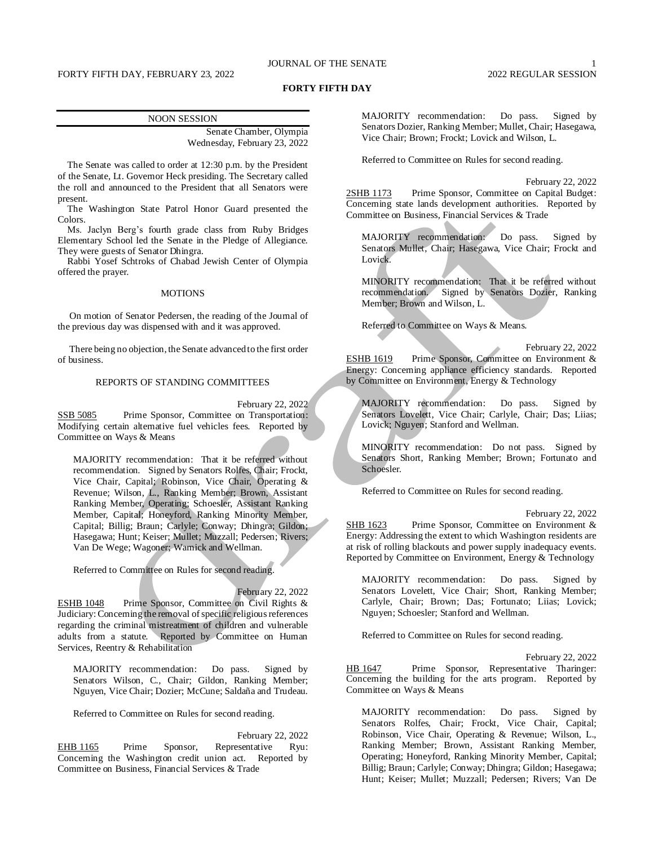# JOURNAL OF THE SENATE 1

# FORTY FIFTH DAY, FEBRUARY 23, 2022 2022 2003 2022 REGULAR SESSION

### **FORTY FIFTH DAY**

| <b>NOON SESSION</b>          |  |
|------------------------------|--|
|                              |  |
| Senate Chamber, Olympia      |  |
| Wednesday, February 23, 2022 |  |

The Senate was called to order at 12:30 p.m. by the President of the Senate, Lt. Governor Heck presiding. The Secretary called the roll and announced to the President that all Senators were present.

The Washington State Patrol Honor Guard presented the Colors.

Ms. Jaclyn Berg's fourth grade class from Ruby Bridges Elementary School led the Senate in the Pledge of Allegiance. They were guests of Senator Dhingra.

Rabbi Yosef Schtroks of Chabad Jewish Center of Olympia offered the prayer.

### **MOTIONS**

On motion of Senator Pedersen, the reading of the Journal of the previous day was dispensed with and it was approved.

There being no objection, the Senate advanced to the first order of business.

### REPORTS OF STANDING COMMITTEES

February 22, 2022

SSB 5085 Prime Sponsor, Committee on Transportation: Modifying certain alternative fuel vehicles fees. Reported by Committee on Ways & Means

MAJORITY recommendation: That it be referred without recommendation. Signed by Senators Rolfes, Chair; Frockt, Vice Chair, Capital; Robinson, Vice Chair, Operating & Revenue; Wilson, L., Ranking Member; Brown, Assistant Ranking Member, Operating; Schoesler, Assistant Ranking Member, Capital; Honeyford, Ranking Minority Member, Capital; Billig; Braun; Carlyle; Conway; Dhingra; Gildon; Hasegawa; Hunt; Keiser; Mullet; Muzzall; Pedersen; Rivers; Van De Wege; Wagoner; Warnick and Wellman.

Referred to Committee on Rules for second reading.

February 22, 2022

ESHB 1048 Prime Sponsor, Committee on Civil Rights & Judiciary: Concerning the removal of specific religious references regarding the criminal mistreatment of children and vulnerable adults from a statute. Reported by Committee on Human Services, Reentry & Rehabilitation

MAJORITY recommendation: Do pass. Signed by Senators Wilson, C., Chair; Gildon, Ranking Member; Nguyen, Vice Chair; Dozier; McCune; Saldaña and Trudeau.

Referred to Committee on Rules for second reading.

February 22, 2022 EHB 1165 Prime Sponsor, Representative Ryu: Concerning the Washington credit union act. Reported by Committee on Business, Financial Services & Trade

MAJORITY recommendation: Do pass. Signed by Senators Dozier, Ranking Member; Mullet, Chair; Hasegawa, Vice Chair; Brown; Frockt; Lovick and Wilson, L.

Referred to Committee on Rules for second reading.

February 22, 2022

2SHB 1173 Prime Sponsor, Committee on Capital Budget: Concerning state lands development authorities. Reported by Committee on Business, Financial Services & Trade

MAJORITY recommendation: Do pass. Signed by Senators Mullet, Chair; Hasegawa, Vice Chair; Frockt and Lovick.

MINORITY recommendation: That it be referred without recommendation. Signed by Senators Dozier, Ranking Member; Brown and Wilson, L.

Referred to Committee on Ways & Means.

February 22, 2022 ESHB 1619 Prime Sponsor, Committee on Environment & Energy: Concerning appliance efficiency standards. Reported by Committee on Environment, Energy & Technology

MAJORITY recommendation: Do pass. Signed by Senators Lovelett, Vice Chair; Carlyle, Chair; Das; Liias; Lovick; Nguyen; Stanford and Wellman.

MINORITY recommendation: Do not pass. Signed by Senators Short, Ranking Member; Brown; Fortunato and Schoesler.

Referred to Committee on Rules for second reading.

February 22, 2022

SHB 1623 Prime Sponsor, Committee on Environment & Energy: Addressing the extent to which Washington residents are at risk of rolling blackouts and power supply inadequacy events. Reported by Committee on Environment, Energy & Technology

MAJORITY recommendation: Do pass. Signed by Senators Lovelett, Vice Chair; Short, Ranking Member; Carlyle, Chair; Brown; Das; Fortunato; Liias; Lovick; Nguyen; Schoesler; Stanford and Wellman.

Referred to Committee on Rules for second reading.

February 22, 2022

HB 1647 Prime Sponsor, Representative Tharinger: Concerning the building for the arts program. Reported by Committee on Ways & Means

MAJORITY recommendation: Do pass. Signed by Senators Rolfes, Chair; Frockt, Vice Chair, Capital; Robinson, Vice Chair, Operating & Revenue; Wilson, L., Ranking Member; Brown, Assistant Ranking Member, Operating; Honeyford, Ranking Minority Member, Capital; Billig; Braun; Carlyle; Conway; Dhingra; Gildon; Hasegawa; Hunt; Keiser; Mullet; Muzzall; Pedersen; Rivers; Van De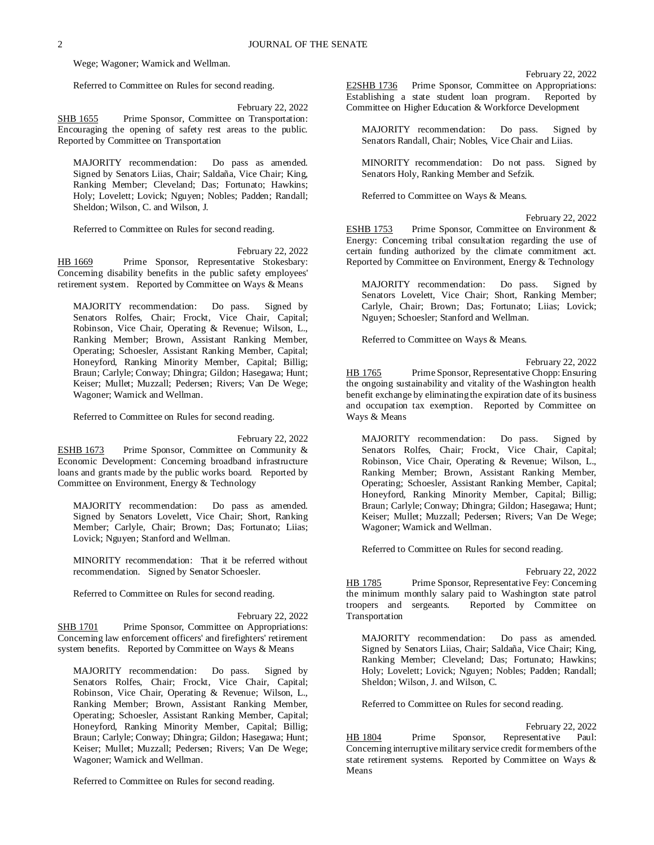Wege; Wagoner; Warnick and Wellman.

Referred to Committee on Rules for second reading.

February 22, 2022

SHB 1655 Prime Sponsor, Committee on Transportation: Encouraging the opening of safety rest areas to the public. Reported by Committee on Transportation

MAJORITY recommendation: Do pass as amended. Signed by Senators Liias, Chair; Saldaña, Vice Chair; King, Ranking Member; Cleveland; Das; Fortunato; Hawkins; Holy; Lovelett; Lovick; Nguyen; Nobles; Padden; Randall; Sheldon; Wilson, C. and Wilson, J.

Referred to Committee on Rules for second reading.

February 22, 2022 HB 1669 Prime Sponsor, Representative Stokesbary: Concerning disability benefits in the public safety employees' retirement system. Reported by Committee on Ways & Means

MAJORITY recommendation: Do pass. Signed by Senators Rolfes, Chair; Frockt, Vice Chair, Capital; Robinson, Vice Chair, Operating & Revenue; Wilson, L., Ranking Member; Brown, Assistant Ranking Member, Operating; Schoesler, Assistant Ranking Member, Capital; Honeyford, Ranking Minority Member, Capital; Billig; Braun; Carlyle; Conway; Dhingra; Gildon; Hasegawa; Hunt; Keiser; Mullet; Muzzall; Pedersen; Rivers; Van De Wege; Wagoner; Warnick and Wellman.

Referred to Committee on Rules for second reading.

February 22, 2022 ESHB 1673 Prime Sponsor, Committee on Community & Economic Development: Concerning broadband infrastructure loans and grants made by the public works board. Reported by Committee on Environment, Energy & Technology

MAJORITY recommendation: Do pass as amended. Signed by Senators Lovelett, Vice Chair; Short, Ranking Member; Carlyle, Chair; Brown; Das; Fortunato; Liias; Lovick; Nguyen; Stanford and Wellman.

MINORITY recommendation: That it be referred without recommendation. Signed by Senator Schoesler.

Referred to Committee on Rules for second reading.

February 22, 2022 SHB 1701 Prime Sponsor, Committee on Appropriations: Concerning law enforcement officers' and firefighters' retirement system benefits. Reported by Committee on Ways & Means

MAJORITY recommendation: Do pass. Signed by Senators Rolfes, Chair; Frockt, Vice Chair, Capital; Robinson, Vice Chair, Operating & Revenue; Wilson, L., Ranking Member; Brown, Assistant Ranking Member, Operating; Schoesler, Assistant Ranking Member, Capital; Honeyford, Ranking Minority Member, Capital; Billig; Braun; Carlyle; Conway; Dhingra; Gildon; Hasegawa; Hunt; Keiser; Mullet; Muzzall; Pedersen; Rivers; Van De Wege; Wagoner; Warnick and Wellman.

Referred to Committee on Rules for second reading.

February 22, 2022

E2SHB 1736 Prime Sponsor, Committee on Appropriations: Establishing a state student loan program. Reported by Committee on Higher Education & Workforce Development

MAJORITY recommendation: Do pass. Signed by Senators Randall, Chair; Nobles, Vice Chair and Liias.

MINORITY recommendation: Do not pass. Signed by Senators Holy, Ranking Member and Sefzik.

Referred to Committee on Ways & Means.

February 22, 2022

ESHB 1753 Prime Sponsor, Committee on Environment & Energy: Concerning tribal consultation regarding the use of certain funding authorized by the climate commitment act. Reported by Committee on Environment, Energy & Technology

MAJORITY recommendation: Do pass. Signed by Senators Lovelett, Vice Chair; Short, Ranking Member; Carlyle, Chair; Brown; Das; Fortunato; Liias; Lovick; Nguyen; Schoesler; Stanford and Wellman.

Referred to Committee on Ways & Means.

February 22, 2022

HB 1765 Prime Sponsor, Representative Chopp: Ensuring the ongoing sustainability and vitality of the Washington health benefit exchange by eliminating the expiration date of its business and occupation tax exemption. Reported by Committee on Ways & Means

MAJORITY recommendation: Do pass. Signed by Senators Rolfes, Chair; Frockt, Vice Chair, Capital; Robinson, Vice Chair, Operating & Revenue; Wilson, L., Ranking Member; Brown, Assistant Ranking Member, Operating; Schoesler, Assistant Ranking Member, Capital; Honeyford, Ranking Minority Member, Capital; Billig; Braun; Carlyle; Conway; Dhingra; Gildon; Hasegawa; Hunt; Keiser; Mullet; Muzzall; Pedersen; Rivers; Van De Wege; Wagoner; Warnick and Wellman.

Referred to Committee on Rules for second reading.

February 22, 2022

HB 1785 Prime Sponsor, Representative Fey: Concerning the minimum monthly salary paid to Washington state patrol<br>troopers and sergeants. Reported by Committee on Reported by Committee on Transportation

MAJORITY recommendation: Do pass as amended. Signed by Senators Liias, Chair; Saldaña, Vice Chair; King, Ranking Member; Cleveland; Das; Fortunato; Hawkins; Holy; Lovelett; Lovick; Nguyen; Nobles; Padden; Randall; Sheldon; Wilson, J. and Wilson, C.

Referred to Committee on Rules for second reading.

February 22, 2022 HB 1804 Prime Sponsor, Representative Paul: Concerning interruptive military service credit for members of the state retirement systems. Reported by Committee on Ways & Means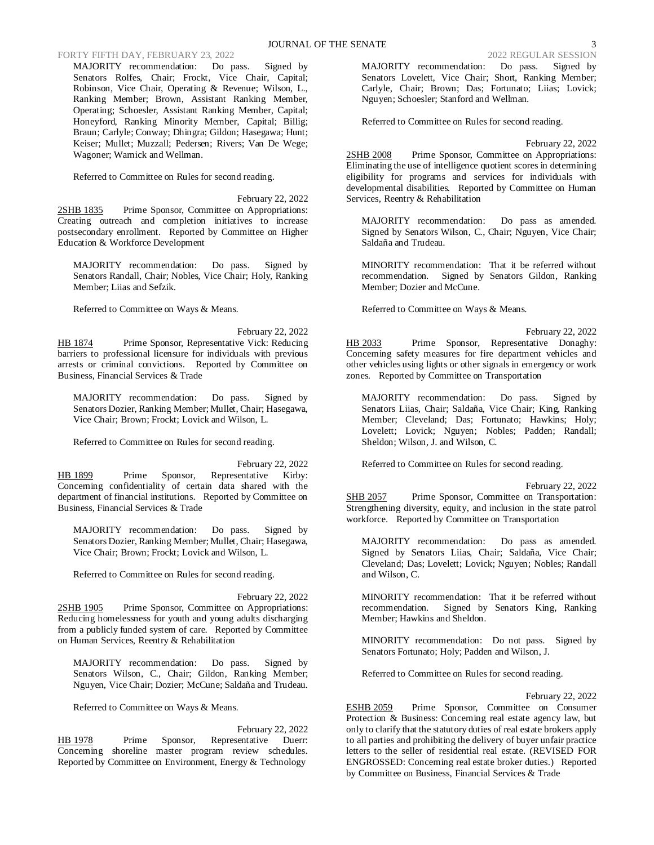# FORTY FIFTH DAY, FEBRUARY 23, 2022 2022 2022 2022 REGULAR SESSION

MAJORITY recommendation: Do pass. Signed by Senators Rolfes, Chair; Frockt, Vice Chair, Capital; Robinson, Vice Chair, Operating & Revenue; Wilson, L., Ranking Member; Brown, Assistant Ranking Member, Operating; Schoesler, Assistant Ranking Member, Capital; Honeyford, Ranking Minority Member, Capital; Billig; Braun; Carlyle; Conway; Dhingra; Gildon; Hasegawa; Hunt; Keiser; Mullet; Muzzall; Pedersen; Rivers; Van De Wege; Wagoner; Warnick and Wellman.

Referred to Committee on Rules for second reading.

February 22, 2022 2SHB 1835 Prime Sponsor, Committee on Appropriations: Creating outreach and completion initiatives to increase postsecondary enrollment. Reported by Committee on Higher Education & Workforce Development

MAJORITY recommendation: Do pass. Signed by Senators Randall, Chair; Nobles, Vice Chair; Holy, Ranking Member; Liias and Sefzik.

Referred to Committee on Ways & Means.

February 22, 2022 HB 1874 Prime Sponsor, Representative Vick: Reducing barriers to professional licensure for individuals with previous arrests or criminal convictions. Reported by Committee on Business, Financial Services & Trade

MAJORITY recommendation: Do pass. Signed by Senators Dozier, Ranking Member; Mullet, Chair; Hasegawa, Vice Chair; Brown; Frockt; Lovick and Wilson, L.

Referred to Committee on Rules for second reading.

February 22, 2022 HB 1899 Prime Sponsor, Representative Kirby: Concerning confidentiality of certain data shared with the department of financial institutions. Reported by Committee on Business, Financial Services & Trade

MAJORITY recommendation: Do pass. Signed by Senators Dozier, Ranking Member; Mullet, Chair; Hasegawa, Vice Chair; Brown; Frockt; Lovick and Wilson, L.

Referred to Committee on Rules for second reading.

February 22, 2022 2SHB 1905 Prime Sponsor, Committee on Appropriations: Reducing homelessness for youth and young adults discharging from a publicly funded system of care. Reported by Committee on Human Services, Reentry & Rehabilitation

MAJORITY recommendation: Do pass. Signed by Senators Wilson, C., Chair; Gildon, Ranking Member; Nguyen, Vice Chair; Dozier; McCune; Saldaña and Trudeau.

Referred to Committee on Ways & Means.

February 22, 2022 HB 1978 Prime Sponsor, Representative Duerr: Concerning shoreline master program review schedules. Reported by Committee on Environment, Energy & Technology

MAJORITY recommendation: Do pass. Signed by Senators Lovelett, Vice Chair; Short, Ranking Member; Carlyle, Chair; Brown; Das; Fortunato; Liias; Lovick; Nguyen; Schoesler; Stanford and Wellman.

Referred to Committee on Rules for second reading.

February 22, 2022

2SHB 2008 Prime Sponsor, Committee on Appropriations: Eliminating the use of intelligence quotient scores in determining eligibility for programs and services for individuals with developmental disabilities. Reported by Committee on Human Services, Reentry & Rehabilitation

MAJORITY recommendation: Do pass as amended. Signed by Senators Wilson, C., Chair; Nguyen, Vice Chair; Saldaña and Trudeau.

MINORITY recommendation: That it be referred without recommendation. Signed by Senators Gildon, Ranking Member; Dozier and McCune.

Referred to Committee on Ways & Means.

February 22, 2022 HB 2033 Prime Sponsor, Representative Donaghy: Concerning safety measures for fire department vehicles and other vehicles using lights or other signals in emergency or work zones. Reported by Committee on Transportation

MAJORITY recommendation: Do pass. Signed by Senators Liias, Chair; Saldaña, Vice Chair; King, Ranking Member; Cleveland; Das; Fortunato; Hawkins; Holy; Lovelett; Lovick; Nguyen; Nobles; Padden; Randall; Sheldon; Wilson, J. and Wilson, C.

Referred to Committee on Rules for second reading.

February 22, 2022

SHB 2057 Prime Sponsor, Committee on Transportation: Strengthening diversity, equity, and inclusion in the state patrol workforce. Reported by Committee on Transportation

MAJORITY recommendation: Do pass as amended. Signed by Senators Liias, Chair; Saldaña, Vice Chair; Cleveland; Das; Lovelett; Lovick; Nguyen; Nobles; Randall and Wilson, C.

MINORITY recommendation: That it be referred without recommendation. Signed by Senators King, Ranking Member; Hawkins and Sheldon.

MINORITY recommendation: Do not pass. Signed by Senators Fortunato; Holy; Padden and Wilson, J.

Referred to Committee on Rules for second reading.

February 22, 2022

ESHB 2059 Prime Sponsor, Committee on Consumer Protection & Business: Concerning real estate agency law, but only to clarify that the statutory duties of real estate brokers apply to all parties and prohibiting the delivery of buyer unfair practice letters to the seller of residential real estate. (REVISED FOR ENGROSSED: Concerning real estate broker duties.) Reported by Committee on Business, Financial Services & Trade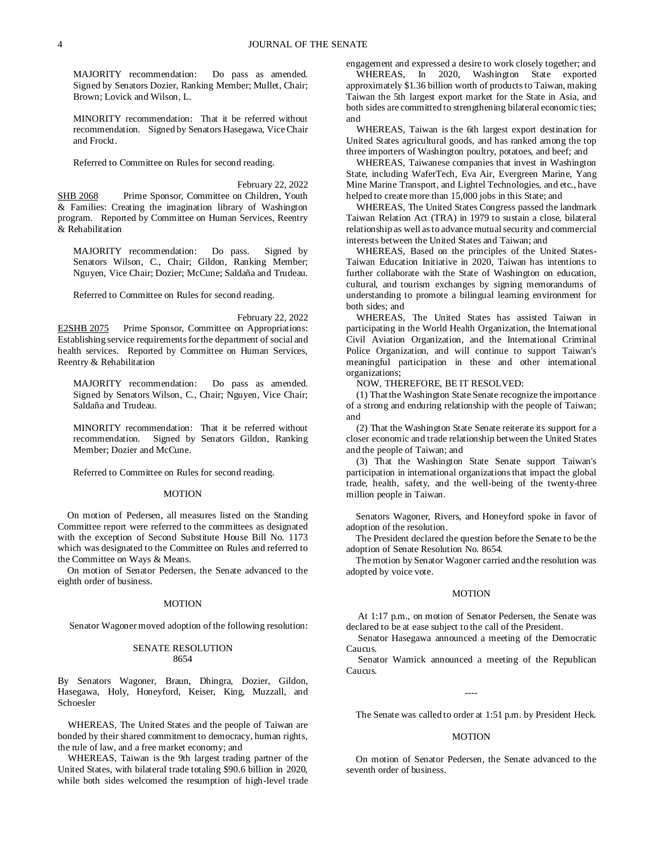MAJORITY recommendation: Do pass as amended. Signed by Senators Dozier, Ranking Member; Mullet, Chair; Brown; Lovick and Wilson, L.

MINORITY recommendation: That it be referred without recommendation. Signed by Senators Hasegawa, Vice Chair and Frockt.

Referred to Committee on Rules for second reading.

February 22, 2022 SHB 2068 Prime Sponsor, Committee on Children, Youth & Families: Creating the imagination library of Washington program. Reported by Committee on Human Services, Reentry & Rehabilitation

MAJORITY recommendation: Do pass. Signed by Senators Wilson, C., Chair; Gildon, Ranking Member; Nguyen, Vice Chair; Dozier; McCune; Saldaña and Trudeau.

Referred to Committee on Rules for second reading.

February 22, 2022 E2SHB 2075 Prime Sponsor, Committee on Appropriations: Establishing service requirements for the department of social and health services. Reported by Committee on Human Services, Reentry & Rehabilitation

MAJORITY recommendation: Do pass as amended. Signed by Senators Wilson, C., Chair; Nguyen, Vice Chair; Saldaña and Trudeau.

MINORITY recommendation: That it be referred without recommendation. Signed by Senators Gildon, Ranking Member; Dozier and McCune.

Referred to Committee on Rules for second reading.

### MOTION

On motion of Pedersen, all measures listed on the Standing Committee report were referred to the committees as designated with the exception of Second Substitute House Bill No. 1173 which was designated to the Committee on Rules and referred to the Committee on Ways & Means.

On motion of Senator Pedersen, the Senate advanced to the eighth order of business.

#### MOTION

Senator Wagoner moved adoption of the following resolution:

#### SENATE RESOLUTION 8654

By Senators Wagoner, Braun, Dhingra, Dozier, Gildon, Hasegawa, Holy, Honeyford, Keiser, King, Muzzall, and Schoesler

WHEREAS, The United States and the people of Taiwan are bonded by their shared commitment to democracy, human rights, the rule of law, and a free market economy; and

WHEREAS, Taiwan is the 9th largest trading partner of the United States, with bilateral trade totaling \$90.6 billion in 2020, while both sides welcomed the resumption of high-level trade engagement and expressed a desire to work closely together; and WHEREAS, In 2020, Washington State exported approximately \$1.36 billion worth of products to Taiwan, making Taiwan the 5th largest export market for the State in Asia, and both sides are committed to strengthening bilateral economic ties; and

WHEREAS, Taiwan is the 6th largest export destination for United States agricultural goods, and has ranked among the top three importers of Washington poultry, potatoes, and beef; and

WHEREAS, Taiwanese companies that invest in Washington State, including WaferTech, Eva Air, Evergreen Marine, Yang Mine Marine Transport, and Lightel Technologies, and etc., have helped to create more than 15,000 jobs in this State; and

WHEREAS, The United States Congress passed the landmark Taiwan Relation Act (TRA) in 1979 to sustain a close, bilateral relationship as well as to advance mutual security and commercial interests between the United States and Taiwan; and

WHEREAS, Based on the principles of the United States-Taiwan Education Initiative in 2020, Taiwan has intentions to further collaborate with the State of Washington on education, cultural, and tourism exchanges by signing memorandums of understanding to promote a bilingual learning environment for both sides; and

WHEREAS, The United States has assisted Taiwan in participating in the World Health Organization, the International Civil Aviation Organization, and the International Criminal Police Organization, and will continue to support Taiwan's meaningful participation in these and other international organizations;

NOW, THEREFORE, BE IT RESOLVED:

(1) That the Washington State Senate recognize the importance of a strong and enduring relationship with the people of Taiwan; and

(2) That the Washington State Senate reiterate its support for a closer economic and trade relationship between the United States and the people of Taiwan; and

(3) That the Washington State Senate support Taiwan's participation in international organizations that impact the global trade, health, safety, and the well-being of the twenty-three million people in Taiwan.

Senators Wagoner, Rivers, and Honeyford spoke in favor of adoption of the resolution.

The President declared the question before the Senate to be the adoption of Senate Resolution No. 8654.

The motion by Senator Wagoner carried and the resolution was adopted by voice vote.

#### MOTION

At 1:17 p.m., on motion of Senator Pedersen, the Senate was declared to be at ease subject to the call of the President.

Senator Hasegawa announced a meeting of the Democratic Caucus.

Senator Warnick announced a meeting of the Republican Caucus.

----

The Senate was called to order at 1:51 p.m. by President Heck.

#### MOTION

On motion of Senator Pedersen, the Senate advanced to the seventh order of business.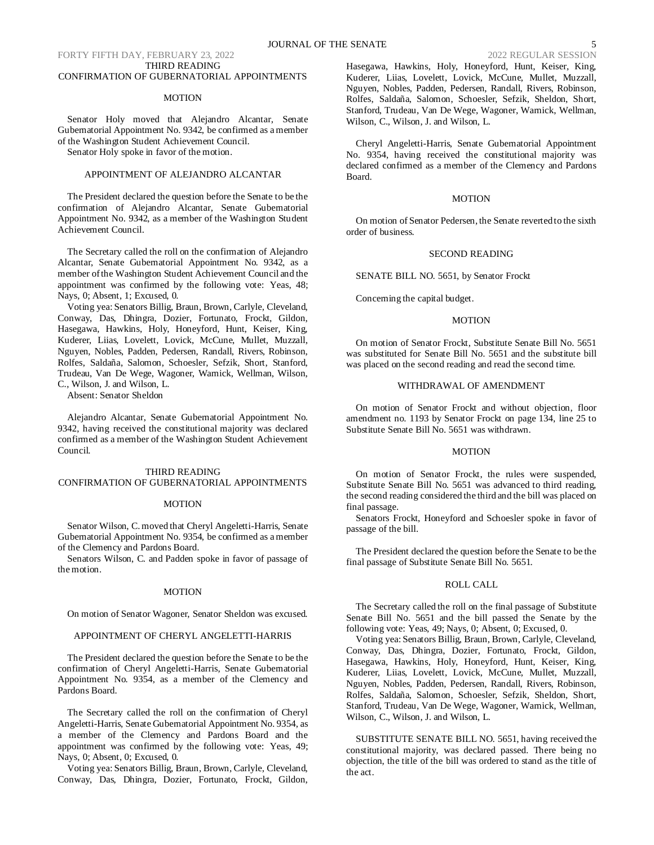# FORTY FIFTH DAY, FEBRUARY 23, 2022 2022 2022 2022 REGULAR SESSION THIRD READING

# CONFIRMATION OF GUBERNATORIAL APPOINTMENTS

#### MOTION

Senator Holy moved that Alejandro Alcantar, Senate Gubernatorial Appointment No. 9342, be confirmed as a member of the Washington Student Achievement Council.

Senator Holy spoke in favor of the motion.

# APPOINTMENT OF ALEJANDRO ALCANTAR

The President declared the question before the Senate to be the confirmation of Alejandro Alcantar, Senate Gubernatorial Appointment No. 9342, as a member of the Washington Student Achievement Council.

The Secretary called the roll on the confirmation of Alejandro Alcantar, Senate Gubernatorial Appointment No. 9342, as a member of the Washington Student Achievement Council and the appointment was confirmed by the following vote: Yeas, 48; Nays, 0; Absent, 1; Excused, 0.

Voting yea: Senators Billig, Braun, Brown, Carlyle, Cleveland, Conway, Das, Dhingra, Dozier, Fortunato, Frockt, Gildon, Hasegawa, Hawkins, Holy, Honeyford, Hunt, Keiser, King, Kuderer, Liias, Lovelett, Lovick, McCune, Mullet, Muzzall, Nguyen, Nobles, Padden, Pedersen, Randall, Rivers, Robinson, Rolfes, Saldaña, Salomon, Schoesler, Sefzik, Short, Stanford, Trudeau, Van De Wege, Wagoner, Warnick, Wellman, Wilson, C., Wilson, J. and Wilson, L.

Absent: Senator Sheldon

Alejandro Alcantar, Senate Gubernatorial Appointment No. 9342, having received the constitutional majority was declared confirmed as a member of the Washington Student Achievement Council.

# THIRD READING CONFIRMATION OF GUBERNATORIAL APPOINTMENTS

#### MOTION

Senator Wilson, C. moved that Cheryl Angeletti-Harris, Senate Gubernatorial Appointment No. 9354, be confirmed as a member of the Clemency and Pardons Board.

Senators Wilson, C. and Padden spoke in favor of passage of the motion.

#### MOTION

On motion of Senator Wagoner, Senator Sheldon was excused.

## APPOINTMENT OF CHERYL ANGELETTI-HARRIS

The President declared the question before the Senate to be the confirmation of Cheryl Angeletti-Harris, Senate Gubernatorial Appointment No. 9354, as a member of the Clemency and Pardons Board.

The Secretary called the roll on the confirmation of Cheryl Angeletti-Harris, Senate Gubernatorial Appointment No. 9354, as a member of the Clemency and Pardons Board and the appointment was confirmed by the following vote: Yeas, 49; Nays, 0; Absent, 0; Excused, 0.

Voting yea: Senators Billig, Braun, Brown, Carlyle, Cleveland, Conway, Das, Dhingra, Dozier, Fortunato, Frockt, Gildon, Hasegawa, Hawkins, Holy, Honeyford, Hunt, Keiser, King, Kuderer, Liias, Lovelett, Lovick, McCune, Mullet, Muzzall, Nguyen, Nobles, Padden, Pedersen, Randall, Rivers, Robinson, Rolfes, Saldaña, Salomon, Schoesler, Sefzik, Sheldon, Short, Stanford, Trudeau, Van De Wege, Wagoner, Warnick, Wellman, Wilson, C., Wilson, J. and Wilson, L.

Cheryl Angeletti-Harris, Senate Gubernatorial Appointment No. 9354, having received the constitutional majority was declared confirmed as a member of the Clemency and Pardons Board.

### **MOTION**

On motion of Senator Pedersen, the Senate reverted to the sixth order of business.

### SECOND READING

SENATE BILL NO. 5651, by Senator Frockt

Concerning the capital budget.

#### MOTION

On motion of Senator Frockt, Substitute Senate Bill No. 5651 was substituted for Senate Bill No. 5651 and the substitute bill was placed on the second reading and read the second time.

### WITHDRAWAL OF AMENDMENT

On motion of Senator Frockt and without objection, floor amendment no. 1193 by Senator Frockt on page 134, line 25 to Substitute Senate Bill No. 5651 was withdrawn.

### MOTION

On motion of Senator Frockt, the rules were suspended, Substitute Senate Bill No. 5651 was advanced to third reading, the second reading considered the third and the bill was placed on final passage.

Senators Frockt, Honeyford and Schoesler spoke in favor of passage of the bill.

The President declared the question before the Senate to be the final passage of Substitute Senate Bill No. 5651.

# ROLL CALL

The Secretary called the roll on the final passage of Substitute Senate Bill No. 5651 and the bill passed the Senate by the following vote: Yeas, 49; Nays, 0; Absent, 0; Excused, 0.

Voting yea: Senators Billig, Braun, Brown, Carlyle, Cleveland, Conway, Das, Dhingra, Dozier, Fortunato, Frockt, Gildon, Hasegawa, Hawkins, Holy, Honeyford, Hunt, Keiser, King, Kuderer, Liias, Lovelett, Lovick, McCune, Mullet, Muzzall, Nguyen, Nobles, Padden, Pedersen, Randall, Rivers, Robinson, Rolfes, Saldaña, Salomon, Schoesler, Sefzik, Sheldon, Short, Stanford, Trudeau, Van De Wege, Wagoner, Warnick, Wellman, Wilson, C., Wilson, J. and Wilson, L.

SUBSTITUTE SENATE BILL NO. 5651, having received the constitutional majority, was declared passed. There being no objection, the title of the bill was ordered to stand as the title of the act.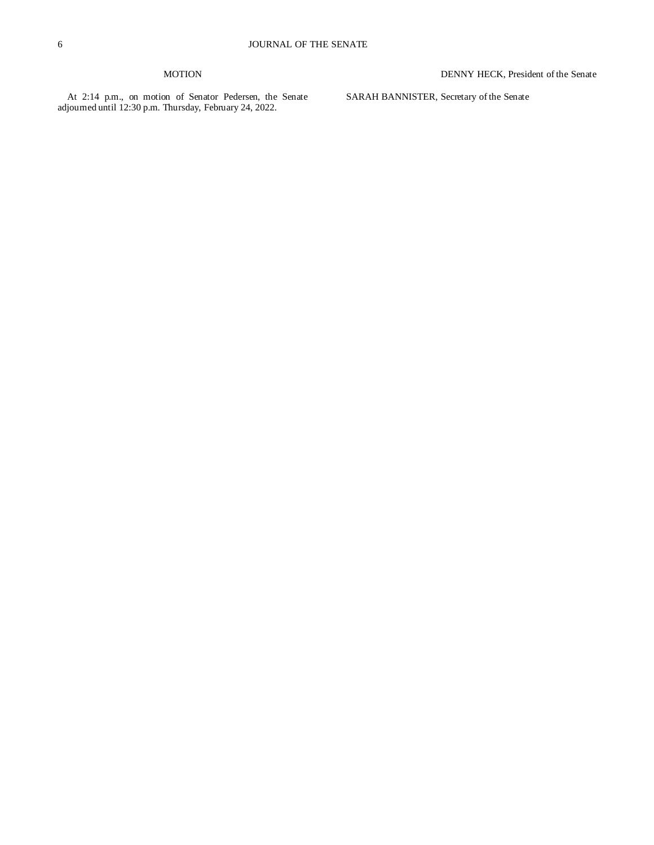# MOTION

At 2:14 p.m., on motion of Senator Pedersen, the Senate adjourned until 12:30 p.m. Thursday, February 24, 2022.

DENNY HECK, President of the Senate

SARAH BANNISTER, Secretary of the Senate